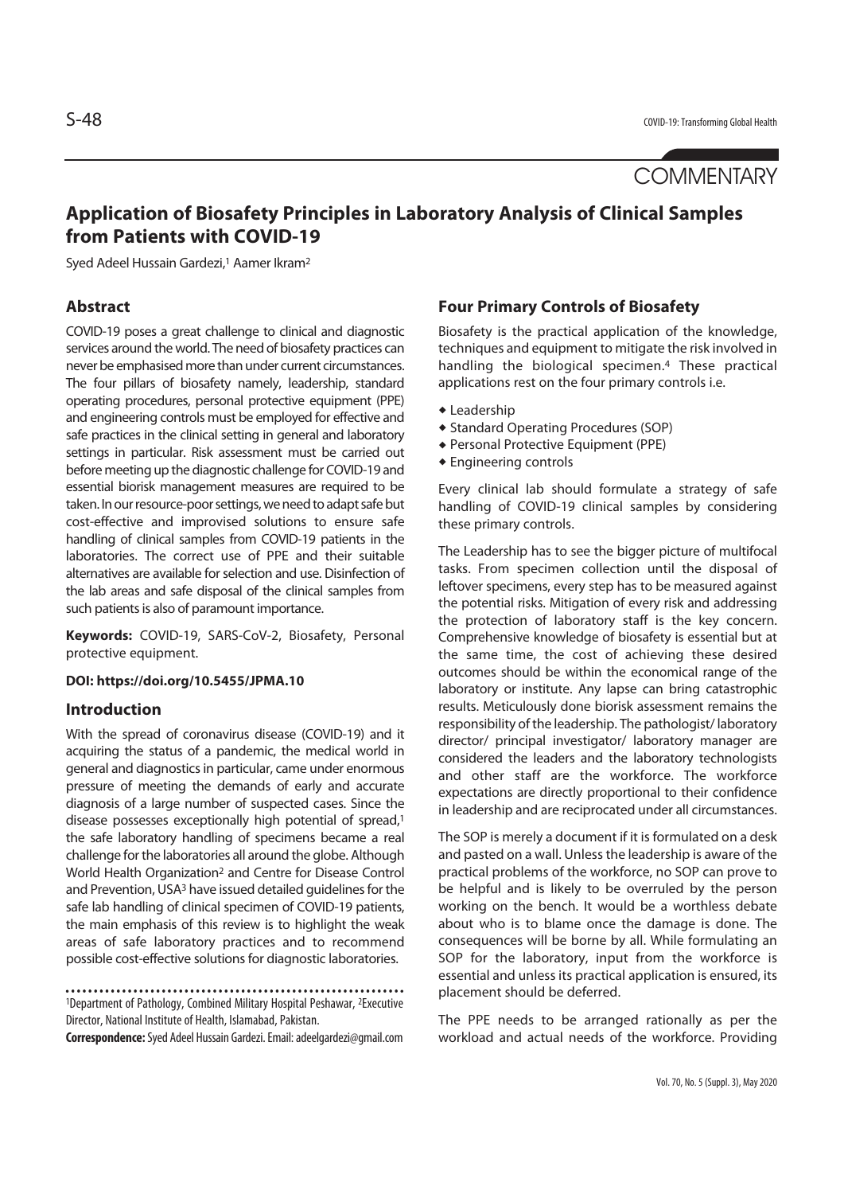# **Application of Biosafety Principles in Laboratory Analysis of Clinical Samples from Patients with COVID-19**

Syed Adeel Hussain Gardezi,1 Aamer Ikram2

# **Abstract**

COVID-19 poses a great challenge to clinical and diagnostic services around the world. The need of biosafety practices can never be emphasised more than under current circumstances. The four pillars of biosafety namely, leadership, standard operating procedures, personal protective equipment (PPE) and engineering controls must be employed for effective and safe practices in the clinical setting in general and laboratory settings in particular. Risk assessment must be carried out before meeting up the diagnostic challenge for COVID-19 and essential biorisk management measures are required to be taken. In our resource-poor settings, we need to adapt safe but cost-effective and improvised solutions to ensure safe handling of clinical samples from COVID-19 patients in the laboratories. The correct use of PPE and their suitable alternatives are available for selection and use. Disinfection of the lab areas and safe disposal of the clinical samples from such patients is also of paramount importance.

**Keywords:** COVID-19, SARS-CoV-2, Biosafety, Personal protective equipment.

#### **DOI: https://doi.org/10.5455/JPMA.10**

### **Introduction**

With the spread of coronavirus disease (COVID-19) and it acquiring the status of a pandemic, the medical world in general and diagnostics in particular, came under enormous pressure of meeting the demands of early and accurate diagnosis of a large number of suspected cases. Since the disease possesses exceptionally high potential of spread,<sup>1</sup> the safe laboratory handling of specimens became a real challenge for the laboratories all around the globe. Although World Health Organization2 and Centre for Disease Control and Prevention, USA3 have issued detailed guidelines for the safe lab handling of clinical specimen of COVID-19 patients, the main emphasis of this review is to highlight the weak areas of safe laboratory practices and to recommend possible cost-effective solutions for diagnostic laboratories.

1Department of Pathology, Combined Military Hospital Peshawar, 2Executive Director, National Institute of Health, Islamabad, Pakistan.

**Correspondence:** Syed Adeel Hussain Gardezi. Email: adeelgardezi@gmail.com

#### **Four Primary Controls of Biosafety**

Biosafety is the practical application of the knowledge, techniques and equipment to mitigate the risk involved in handling the biological specimen.4 These practical applications rest on the four primary controls i.e.

- $\triangle$  Leadership
- ◆ Standard Operating Procedures (SOP)
- **Personal Protective Equipment (PPE)**
- $\triangle$  Engineering controls

Every clinical lab should formulate a strategy of safe handling of COVID-19 clinical samples by considering these primary controls.

The Leadership has to see the bigger picture of multifocal tasks. From specimen collection until the disposal of leftover specimens, every step has to be measured against the potential risks. Mitigation of every risk and addressing the protection of laboratory staff is the key concern. Comprehensive knowledge of biosafety is essential but at the same time, the cost of achieving these desired outcomes should be within the economical range of the laboratory or institute. Any lapse can bring catastrophic results. Meticulously done biorisk assessment remains the responsibility of the leadership. The pathologist/ laboratory director/ principal investigator/ laboratory manager are considered the leaders and the laboratory technologists and other staff are the workforce. The workforce expectations are directly proportional to their confidence in leadership and are reciprocated under all circumstances.

The SOP is merely a document if it is formulated on a desk and pasted on a wall. Unless the leadership is aware of the practical problems of the workforce, no SOP can prove to be helpful and is likely to be overruled by the person working on the bench. It would be a worthless debate about who is to blame once the damage is done. The consequences will be borne by all. While formulating an SOP for the laboratory, input from the workforce is essential and unless its practical application is ensured, its placement should be deferred.

The PPE needs to be arranged rationally as per the workload and actual needs of the workforce. Providing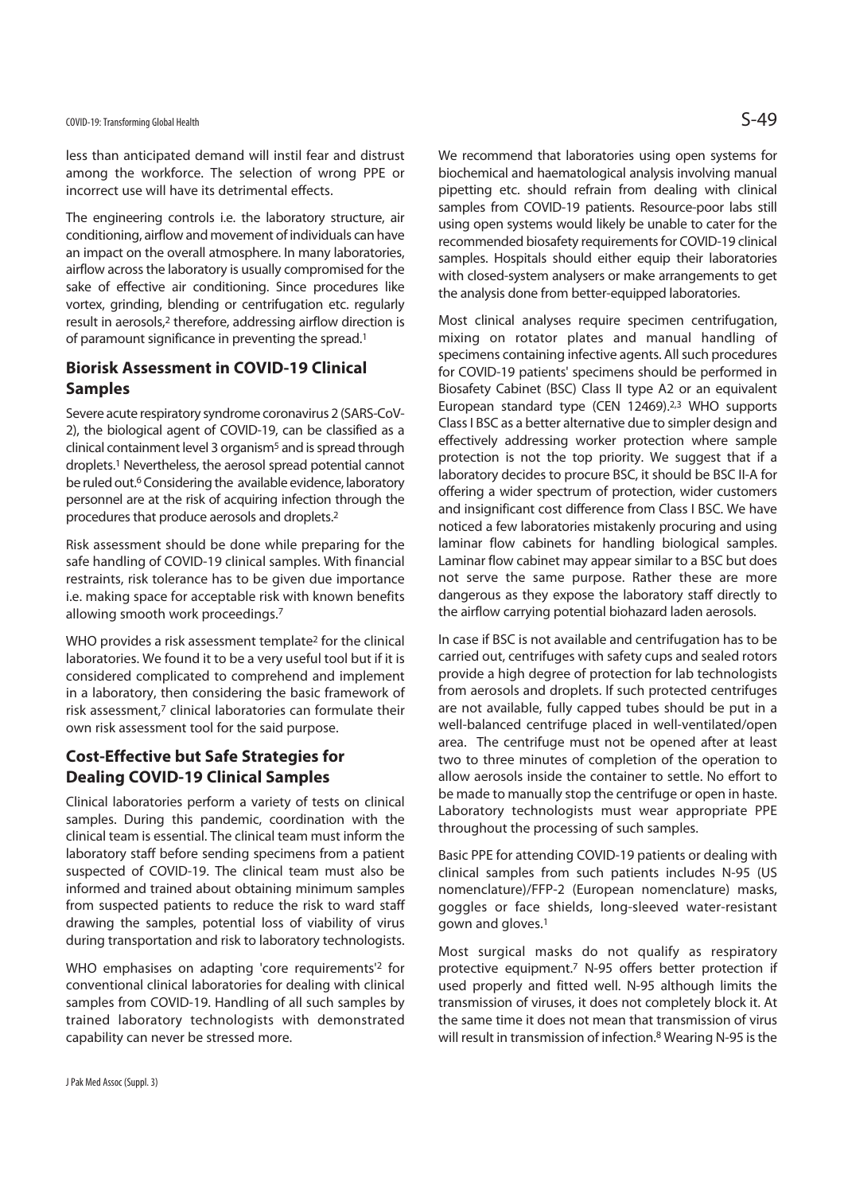less than anticipated demand will instil fear and distrust among the workforce. The selection of wrong PPE or incorrect use will have its detrimental effects.

The engineering controls i.e. the laboratory structure, air conditioning, airflow and movement of individuals can have an impact on the overall atmosphere. In many laboratories, airflow across the laboratory is usually compromised for the sake of effective air conditioning. Since procedures like vortex, grinding, blending or centrifugation etc. regularly result in aerosols,2 therefore, addressing airflow direction is of paramount significance in preventing the spread.<sup>1</sup>

# **Biorisk Assessment in COVID-19 Clinical Samples**

Severe acute respiratory syndrome coronavirus 2 (SARS-CoV-2), the biological agent of COVID-19, can be classified as a clinical containment level 3 organism<sup>5</sup> and is spread through droplets.1 Nevertheless, the aerosol spread potential cannot be ruled out.<sup>6</sup> Considering the available evidence, laboratory personnel are at the risk of acquiring infection through the procedures that produce aerosols and droplets.2

Risk assessment should be done while preparing for the safe handling of COVID-19 clinical samples. With financial restraints, risk tolerance has to be given due importance i.e. making space for acceptable risk with known benefits allowing smooth work proceedings.7

WHO provides a risk assessment template<sup>2</sup> for the clinical laboratories. We found it to be a very useful tool but if it is considered complicated to comprehend and implement in a laboratory, then considering the basic framework of risk assessment,<sup>7</sup> clinical laboratories can formulate their own risk assessment tool for the said purpose.

# **Cost-Effective but Safe Strategies for Dealing COVID-19 Clinical Samples**

Clinical laboratories perform a variety of tests on clinical samples. During this pandemic, coordination with the clinical team is essential. The clinical team must inform the laboratory staff before sending specimens from a patient suspected of COVID-19. The clinical team must also be informed and trained about obtaining minimum samples from suspected patients to reduce the risk to ward staff drawing the samples, potential loss of viability of virus during transportation and risk to laboratory technologists.

WHO emphasises on adapting 'core requirements'2 for conventional clinical laboratories for dealing with clinical samples from COVID-19. Handling of all such samples by trained laboratory technologists with demonstrated capability can never be stressed more.

We recommend that laboratories using open systems for biochemical and haematological analysis involving manual pipetting etc. should refrain from dealing with clinical samples from COVID-19 patients. Resource-poor labs still using open systems would likely be unable to cater for the recommended biosafety requirements for COVID-19 clinical samples. Hospitals should either equip their laboratories with closed-system analysers or make arrangements to get the analysis done from better-equipped laboratories.

Most clinical analyses require specimen centrifugation, mixing on rotator plates and manual handling of specimens containing infective agents. All such procedures for COVID-19 patients' specimens should be performed in Biosafety Cabinet (BSC) Class II type A2 or an equivalent European standard type (CEN 12469).<sup>2,3</sup> WHO supports Class I BSC as a better alternative due to simpler design and effectively addressing worker protection where sample protection is not the top priority. We suggest that if a laboratory decides to procure BSC, it should be BSC II-A for offering a wider spectrum of protection, wider customers and insignificant cost difference from Class I BSC. We have noticed a few laboratories mistakenly procuring and using laminar flow cabinets for handling biological samples. Laminar flow cabinet may appear similar to a BSC but does not serve the same purpose. Rather these are more dangerous as they expose the laboratory staff directly to the airflow carrying potential biohazard laden aerosols.

In case if BSC is not available and centrifugation has to be carried out, centrifuges with safety cups and sealed rotors provide a high degree of protection for lab technologists from aerosols and droplets. If such protected centrifuges are not available, fully capped tubes should be put in a well-balanced centrifuge placed in well-ventilated/open area. The centrifuge must not be opened after at least two to three minutes of completion of the operation to allow aerosols inside the container to settle. No effort to be made to manually stop the centrifuge or open in haste. Laboratory technologists must wear appropriate PPE throughout the processing of such samples.

Basic PPE for attending COVID-19 patients or dealing with clinical samples from such patients includes N-95 (US nomenclature)/FFP-2 (European nomenclature) masks, goggles or face shields, long-sleeved water-resistant gown and gloves.1

Most surgical masks do not qualify as respiratory protective equipment.7 N-95 offers better protection if used properly and fitted well. N-95 although limits the transmission of viruses, it does not completely block it. At the same time it does not mean that transmission of virus will result in transmission of infection.<sup>8</sup> Wearing N-95 is the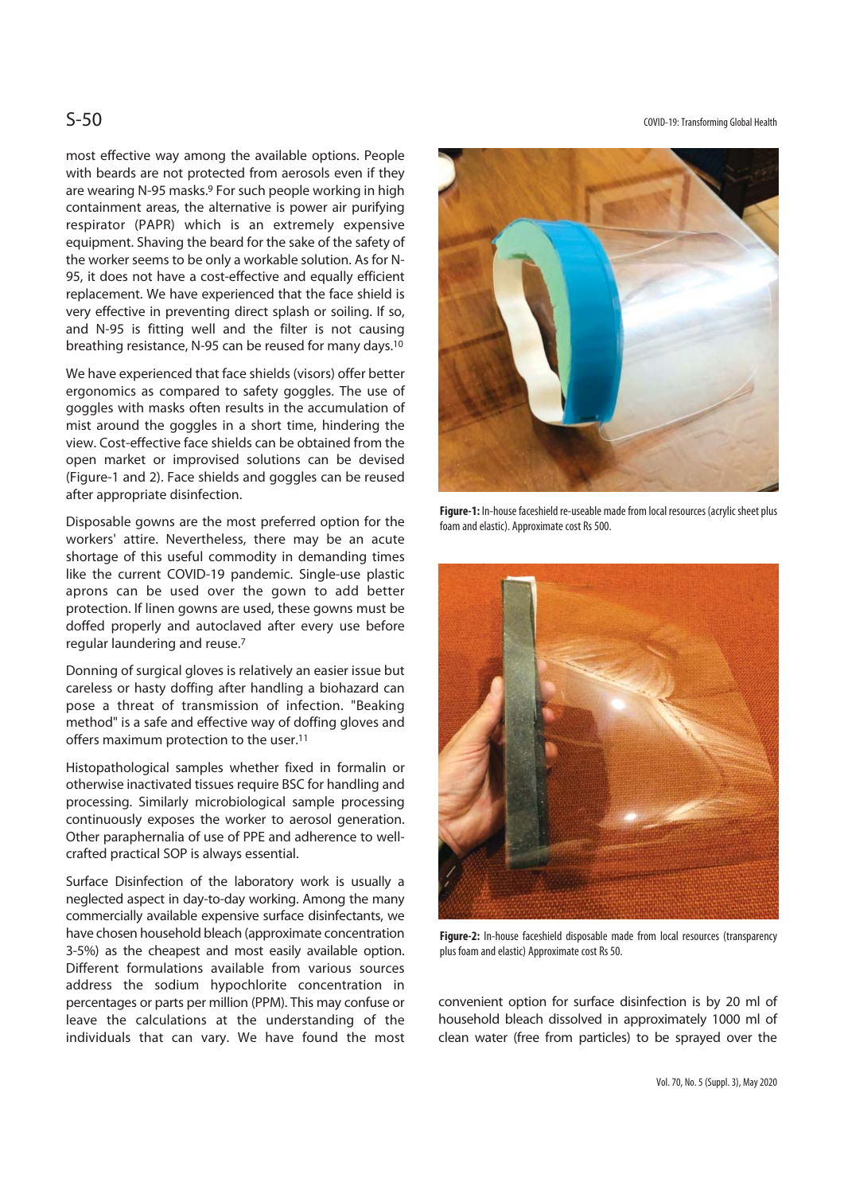most effective way among the available options. People with beards are not protected from aerosols even if they are wearing N-95 masks.9 For such people working in high containment areas, the alternative is power air purifying respirator (PAPR) which is an extremely expensive equipment. Shaving the beard for the sake of the safety of the worker seems to be only a workable solution. As for N-95, it does not have a cost-effective and equally efficient replacement. We have experienced that the face shield is very effective in preventing direct splash or soiling. If so, and N-95 is fitting well and the filter is not causing breathing resistance, N-95 can be reused for many days.10

We have experienced that face shields (visors) offer better ergonomics as compared to safety goggles. The use of goggles with masks often results in the accumulation of mist around the goggles in a short time, hindering the view. Cost-effective face shields can be obtained from the open market or improvised solutions can be devised (Figure-1 and 2). Face shields and goggles can be reused after appropriate disinfection.

Disposable gowns are the most preferred option for the workers' attire. Nevertheless, there may be an acute shortage of this useful commodity in demanding times like the current COVID-19 pandemic. Single-use plastic aprons can be used over the gown to add better protection. If linen gowns are used, these gowns must be doffed properly and autoclaved after every use before regular laundering and reuse.7

Donning of surgical gloves is relatively an easier issue but careless or hasty doffing after handling a biohazard can pose a threat of transmission of infection. "Beaking method" is a safe and effective way of doffing gloves and offers maximum protection to the user.11

Histopathological samples whether fixed in formalin or otherwise inactivated tissues require BSC for handling and processing. Similarly microbiological sample processing continuously exposes the worker to aerosol generation. Other paraphernalia of use of PPE and adherence to wellcrafted practical SOP is always essential.

Surface Disinfection of the laboratory work is usually a neglected aspect in day-to-day working. Among the many commercially available expensive surface disinfectants, we have chosen household bleach (approximate concentration 3-5%) as the cheapest and most easily available option. Different formulations available from various sources address the sodium hypochlorite concentration in percentages or parts per million (PPM). This may confuse or leave the calculations at the understanding of the individuals that can vary. We have found the most

S-50 COVID-19: Transforming Global Health



**Figure-1:** In-house faceshield re-useable made from local resources (acrylic sheet plus foam and elastic). Approximate cost Rs 500.



**Figure-2:** In-house faceshield disposable made from local resources (transparency plus foam and elastic) Approximate cost Rs 50.

convenient option for surface disinfection is by 20 ml of household bleach dissolved in approximately 1000 ml of clean water (free from particles) to be sprayed over the